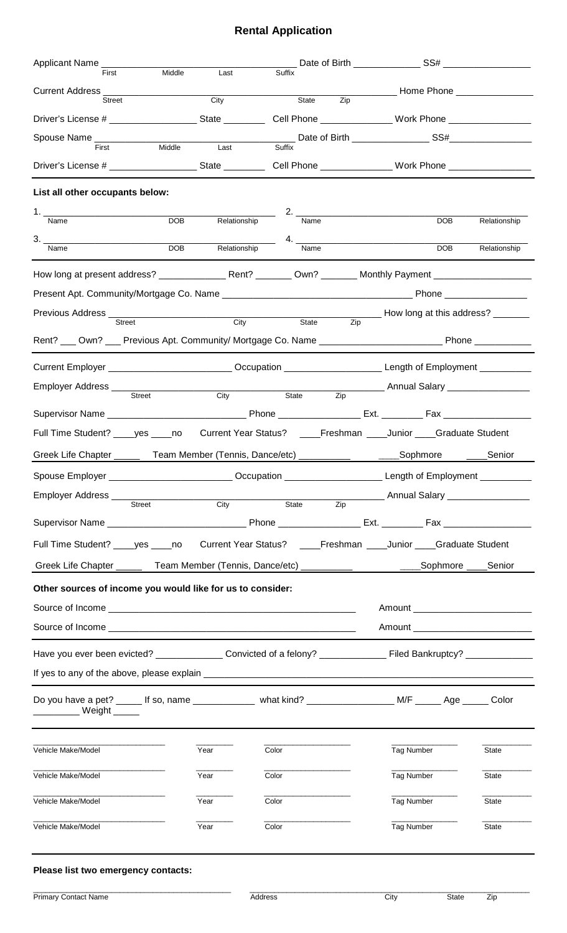# **Rental Application**

| First                                                                                                                                             | Middle<br>Last                                                                                      | Suffix                    |                                                                                                               |              |  |  |
|---------------------------------------------------------------------------------------------------------------------------------------------------|-----------------------------------------------------------------------------------------------------|---------------------------|---------------------------------------------------------------------------------------------------------------|--------------|--|--|
| Street                                                                                                                                            | City                                                                                                | $\overline{Zip}$<br>State |                                                                                                               |              |  |  |
| Driver's License # _____________________State ____________Cell Phone ________________Work Phone ______________                                    |                                                                                                     |                           |                                                                                                               |              |  |  |
|                                                                                                                                                   |                                                                                                     |                           |                                                                                                               |              |  |  |
| Spouse Name ____________<br>First                                                                                                                 |                                                                                                     |                           |                                                                                                               |              |  |  |
|                                                                                                                                                   |                                                                                                     |                           |                                                                                                               |              |  |  |
| List all other occupants below:                                                                                                                   |                                                                                                     |                           |                                                                                                               |              |  |  |
| Name                                                                                                                                              | <b>DOB</b><br>Relationship                                                                          | 2. $\qquad$<br>Name       | DOB                                                                                                           | Relationship |  |  |
|                                                                                                                                                   |                                                                                                     |                           |                                                                                                               |              |  |  |
| Name                                                                                                                                              | <b>DOB</b><br>Relationship                                                                          | Name                      | <b>DOB</b>                                                                                                    | Relationship |  |  |
|                                                                                                                                                   |                                                                                                     |                           |                                                                                                               |              |  |  |
|                                                                                                                                                   |                                                                                                     |                           |                                                                                                               |              |  |  |
| <b>Street</b>                                                                                                                                     | City Distribution City                                                                              | State<br>Zip              |                                                                                                               |              |  |  |
| Rent? ___ Own? ___ Previous Apt. Community/ Mortgage Co. Name ______________________________Phone ____________                                    |                                                                                                     |                           |                                                                                                               |              |  |  |
|                                                                                                                                                   |                                                                                                     |                           |                                                                                                               |              |  |  |
| Current Employer ___________________________Occupation ________________________Length of Employment __________                                    |                                                                                                     |                           |                                                                                                               |              |  |  |
| Employer Address ___<br>Street                                                                                                                    | City                                                                                                | State<br>Zip              | __________ Annual Salary __________________                                                                   |              |  |  |
|                                                                                                                                                   |                                                                                                     |                           |                                                                                                               |              |  |  |
| Full Time Student? ____ yes ____ no                                                                                                               |                                                                                                     |                           | Current Year Status? _____Freshman _____Junior ____Graduate Student                                           |              |  |  |
| Greek Life Chapter ________ Team Member (Tennis, Dance/etc) ____________________Sophmore                                                          |                                                                                                     |                           |                                                                                                               | _____Senior  |  |  |
|                                                                                                                                                   |                                                                                                     |                           | Spouse Employer _________________________Occupation _________________________Length of Employment ___________ |              |  |  |
| Employer Address ___________                                                                                                                      |                                                                                                     | City State                | ___________ Annual Salary __________________                                                                  |              |  |  |
| Street                                                                                                                                            |                                                                                                     | Zip                       |                                                                                                               |              |  |  |
|                                                                                                                                                   |                                                                                                     |                           |                                                                                                               |              |  |  |
|                                                                                                                                                   | Full Time Student? ____yes ____no Current Year Status? ____Freshman ____Junior ____Graduate Student |                           |                                                                                                               |              |  |  |
| Greek Life Chapter ________ Team Member (Tennis, Dance/etc) ______________________Sophmore ____Senior                                             |                                                                                                     |                           |                                                                                                               |              |  |  |
| Other sources of income you would like for us to consider:                                                                                        |                                                                                                     |                           |                                                                                                               |              |  |  |
|                                                                                                                                                   |                                                                                                     |                           | Amount ______________________________                                                                         |              |  |  |
|                                                                                                                                                   | Amount ____________________________                                                                 |                           |                                                                                                               |              |  |  |
| Have you ever been evicted? ________________ Convicted of a felony? ________________ Filed Bankruptcy? _____________                              |                                                                                                     |                           |                                                                                                               |              |  |  |
|                                                                                                                                                   |                                                                                                     |                           |                                                                                                               |              |  |  |
| Do you have a pet? ______ If so, name _______________ what kind? _______________________ M/F ______ Age ______ Color<br>___________ Weight ______ |                                                                                                     |                           |                                                                                                               |              |  |  |
| Vehicle Make/Model                                                                                                                                | Year                                                                                                | Color                     | Tag Number                                                                                                    | State        |  |  |
| Vehicle Make/Model                                                                                                                                | Year                                                                                                | Color                     | Tag Number                                                                                                    | State        |  |  |
| Vehicle Make/Model                                                                                                                                | Year                                                                                                | Color                     | Tag Number                                                                                                    | State        |  |  |
| Vehicle Make/Model                                                                                                                                | Year                                                                                                | Color                     | Tag Number                                                                                                    | State        |  |  |
|                                                                                                                                                   |                                                                                                     |                           |                                                                                                               |              |  |  |

## **Please list two emergency contacts:**